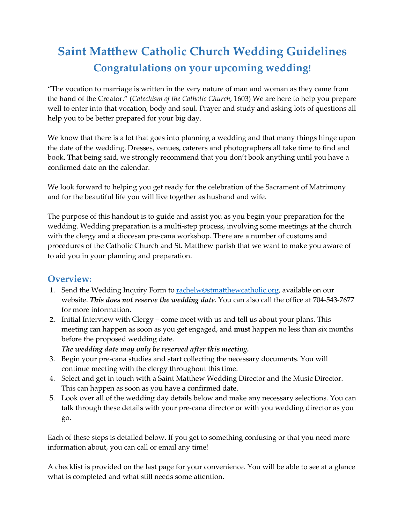# **Saint Matthew Catholic Church Wedding Guidelines Congratulations on your upcoming wedding!**

"The vocation to marriage is written in the very nature of man and woman as they came from the hand of the Creator." (*Catechism of the Catholic Church,* 1603) We are here to help you prepare well to enter into that vocation, body and soul. Prayer and study and asking lots of questions all help you to be better prepared for your big day.

We know that there is a lot that goes into planning a wedding and that many things hinge upon the date of the wedding. Dresses, venues, caterers and photographers all take time to find and book. That being said, we strongly recommend that you don't book anything until you have a confirmed date on the calendar.

We look forward to helping you get ready for the celebration of the Sacrament of Matrimony and for the beautiful life you will live together as husband and wife.

The purpose of this handout is to guide and assist you as you begin your preparation for the wedding. Wedding preparation is a multi-step process, involving some meetings at the church with the clergy and a diocesan pre-cana workshop. There are a number of customs and procedures of the Catholic Church and St. Matthew parish that we want to make you aware of to aid you in your planning and preparation.

## **Overview:**

- 1. Send the Wedding Inquiry Form to rachelw@stmatthewcatholic.org, available on our website. *This does not reserve the wedding date.* You can also call the office at 704-543-7677 for more information.
- **2.** Initial Interview with Clergy come meet with us and tell us about your plans. This meeting can happen as soon as you get engaged, and **must** happen no less than six months before the proposed wedding date.
	- *The wedding date may only be reserved after this meeting.*
- 3. Begin your pre-cana studies and start collecting the necessary documents. You will continue meeting with the clergy throughout this time.
- 4. Select and get in touch with a Saint Matthew Wedding Director and the Music Director. This can happen as soon as you have a confirmed date.
- 5. Look over all of the wedding day details below and make any necessary selections. You can talk through these details with your pre-cana director or with you wedding director as you go.

Each of these steps is detailed below. If you get to something confusing or that you need more information about, you can call or email any time!

A checklist is provided on the last page for your convenience. You will be able to see at a glance what is completed and what still needs some attention.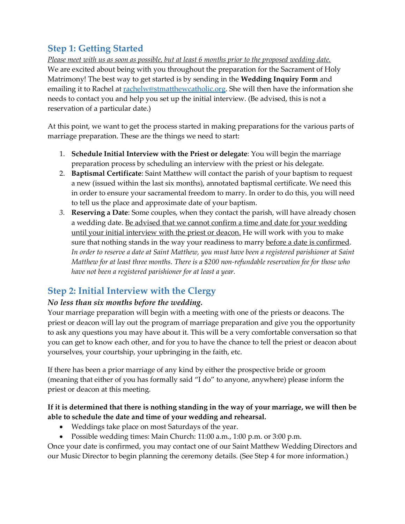# **Step 1: Getting Started**

*Please meet with us as soon as possible, but at least 6 months prior to the proposed wedding date.* We are excited about being with you throughout the preparation for the Sacrament of Holy Matrimony! The best way to get started is by sending in the **Wedding Inquiry Form** and emailing it to Rachel at [rachelw@stmatthewcatholic.org.](mailto:rachelw@stmatthewcatholic.org) She will then have the information she needs to contact you and help you set up the initial interview. (Be advised, this is not a reservation of a particular date.)

At this point, we want to get the process started in making preparations for the various parts of marriage preparation. These are the things we need to start:

- 1. **Schedule Initial Interview with the Priest or delegate**: You will begin the marriage preparation process by scheduling an interview with the priest or his delegate.
- 2. **Baptismal Certificate**: Saint Matthew will contact the parish of your baptism to request a new (issued within the last six months), annotated baptismal certificate. We need this in order to ensure your sacramental freedom to marry. In order to do this, you will need to tell us the place and approximate date of your baptism.
- *3.* **Reserving a Date**: Some couples, when they contact the parish, will have already chosen a wedding date. Be advised that we cannot confirm a time and date for your wedding until your initial interview with the priest or deacon. He will work with you to make sure that nothing stands in the way your readiness to marry before a date is confirmed. *In order to reserve a date at Saint Matthew, you must have been a registered parishioner at Saint Matthew for at least three months. There is a \$200 non-refundable reservation fee for those who have not been a registered parishioner for at least a year.*

# **Step 2: Initial Interview with the Clergy**

## *No less than six months before the wedding.*

Your marriage preparation will begin with a meeting with one of the priests or deacons. The priest or deacon will lay out the program of marriage preparation and give you the opportunity to ask any questions you may have about it. This will be a very comfortable conversation so that you can get to know each other, and for you to have the chance to tell the priest or deacon about yourselves, your courtship, your upbringing in the faith, etc.

If there has been a prior marriage of any kind by either the prospective bride or groom (meaning that either of you has formally said "I do" to anyone, anywhere) please inform the priest or deacon at this meeting.

#### **If it is determined that there is nothing standing in the way of your marriage, we will then be able to schedule the date and time of your wedding and rehearsal.**

- Weddings take place on most Saturdays of the year.
- Possible wedding times: Main Church: 11:00 a.m., 1:00 p.m. or 3:00 p.m.

Once your date is confirmed, you may contact one of our Saint Matthew Wedding Directors and our Music Director to begin planning the ceremony details. (See Step 4 for more information.)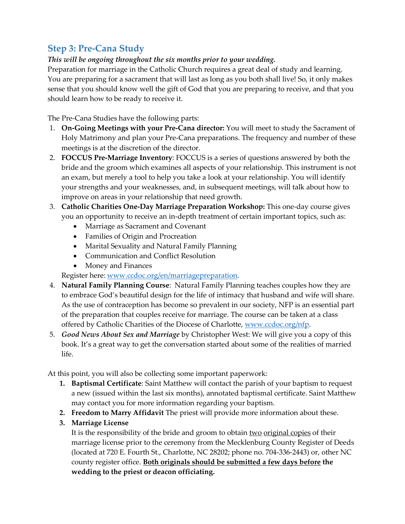## **Step 3: Pre-Cana Study**

#### *This will be ongoing throughout the six months prior to your wedding.*

Preparation for marriage in the Catholic Church requires a great deal of study and learning. You are preparing for a sacrament that will last as long as you both shall live! So, it only makes sense that you should know well the gift of God that you are preparing to receive, and that you should learn how to be ready to receive it.

The Pre-Cana Studies have the following parts:

- 1. **On-Going Meetings with your Pre-Cana director:** You will meet to study the Sacrament of Holy Matrimony and plan your Pre-Cana preparations. The frequency and number of these meetings is at the discretion of the director.
- 2. **FOCCUS Pre-Marriage Inventory**: FOCCUS is a series of questions answered by both the bride and the groom which examines all aspects of your relationship. This instrument is not an exam, but merely a tool to help you take a look at your relationship. You will identify your strengths and your weaknesses, and, in subsequent meetings, will talk about how to improve on areas in your relationship that need growth.
- 3. **Catholic Charities One-Day Marriage Preparation Workshop:** This one-day course gives you an opportunity to receive an in-depth treatment of certain important topics, such as:
	- Marriage as Sacrament and Covenant
	- Families of Origin and Procreation
	- Marital Sexuality and Natural Family Planning
	- Communication and Conflict Resolution
	- Money and Finances

Register here: [www.ccdoc.org/en/marriagepreparation.](https://ccdoc.org/en/marriagepreparation)

- 4. **Natural Family Planning Course**: Natural Family Planning teaches couples how they are to embrace God's beautiful design for the life of intimacy that husband and wife will share. As the use of contraception has become so prevalent in our society, NFP is an essential part of the preparation that couples receive for marriage. The course can be taken at a class offered by Catholic Charities of the Diocese of Charlotte, www.ccdoc.org/nfp.
- 5. *Good News About Sex and Marriage* by Christopher West: We will give you a copy of this book. It's a great way to get the conversation started about some of the realities of married life.

At this point, you will also be collecting some important paperwork:

- **1. Baptismal Certificate**: Saint Matthew will contact the parish of your baptism to request a new (issued within the last six months), annotated baptismal certificate. Saint Matthew may contact you for more information regarding your baptism.
- **2. Freedom to Marry Affidavit** The priest will provide more information about these.

#### **3. Marriage License**

It is the responsibility of the bride and groom to obtain two original copies of their marriage license prior to the ceremony from the Mecklenburg County Register of Deeds (located at 720 E. Fourth St., Charlotte, NC 28202; phone no. 704-336-2443) or, other NC county register office. **Both originals should be submitted a few days before the wedding to the priest or deacon officiating.**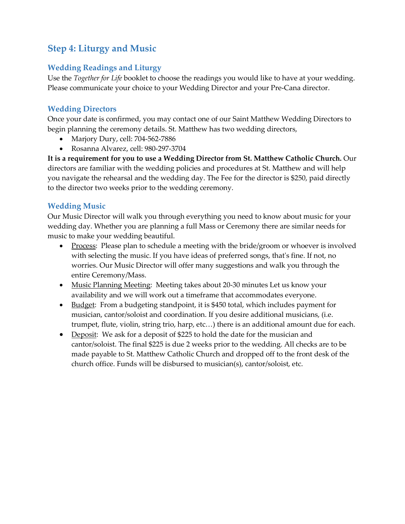# **Step 4: Liturgy and Music**

#### **Wedding Readings and Liturgy**

Use the *Together for Life* booklet to choose the readings you would like to have at your wedding. Please communicate your choice to your Wedding Director and your Pre-Cana director.

## **Wedding Directors**

Once your date is confirmed, you may contact one of our Saint Matthew Wedding Directors to begin planning the ceremony details. St. Matthew has two wedding directors,

- Marjory Dury, cell: 704-562-7886
- Rosanna Alvarez, cell: 980-297-3704

**It is a requirement for you to use a Wedding Director from St. Matthew Catholic Church.** Our directors are familiar with the wedding policies and procedures at St. Matthew and will help you navigate the rehearsal and the wedding day. The Fee for the director is \$250, paid directly to the director two weeks prior to the wedding ceremony.

### **Wedding Music**

Our Music Director will walk you through everything you need to know about music for your wedding day. Whether you are planning a full Mass or Ceremony there are similar needs for music to make your wedding beautiful.

- Process: Please plan to schedule a meeting with the bride/groom or whoever is involved with selecting the music. If you have ideas of preferred songs, that's fine. If not, no worries. Our Music Director will offer many suggestions and walk you through the entire Ceremony/Mass.
- Music Planning Meeting: Meeting takes about 20-30 minutes Let us know your availability and we will work out a timeframe that accommodates everyone.
- Budget: From a budgeting standpoint, it is \$450 total, which includes payment for musician, cantor/soloist and coordination. If you desire additional musicians, (i.e. trumpet, flute, violin, string trio, harp, etc…) there is an additional amount due for each.
- Deposit: We ask for a deposit of \$225 to hold the date for the musician and cantor/soloist. The final \$225 is due 2 weeks prior to the wedding. All checks are to be made payable to St. Matthew Catholic Church and dropped off to the front desk of the church office. Funds will be disbursed to musician(s), cantor/soloist, etc.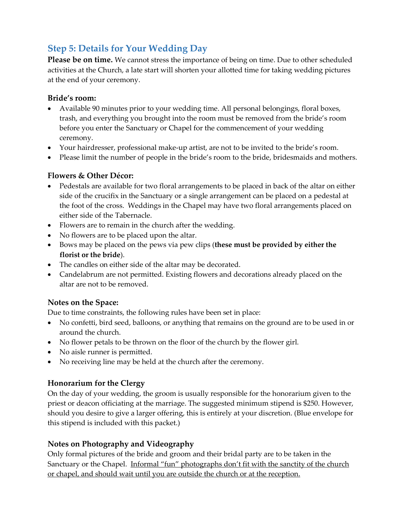# **Step 5: Details for Your Wedding Day**

**Please be on time.** We cannot stress the importance of being on time. Due to other scheduled activities at the Church, a late start will shorten your allotted time for taking wedding pictures at the end of your ceremony.

#### **Bride's room:**

- Available 90 minutes prior to your wedding time. All personal belongings, floral boxes, trash, and everything you brought into the room must be removed from the bride's room before you enter the Sanctuary or Chapel for the commencement of your wedding ceremony.
- Your hairdresser, professional make-up artist, are not to be invited to the bride's room.
- Please limit the number of people in the bride's room to the bride, bridesmaids and mothers.

#### **Flowers & Other Décor:**

- Pedestals are available for two floral arrangements to be placed in back of the altar on either side of the crucifix in the Sanctuary or a single arrangement can be placed on a pedestal at the foot of the cross. Weddings in the Chapel may have two floral arrangements placed on either side of the Tabernacle.
- Flowers are to remain in the church after the wedding.
- No flowers are to be placed upon the altar.
- Bows may be placed on the pews via pew clips (**these must be provided by either the florist or the bride**).
- The candles on either side of the altar may be decorated.
- Candelabrum are not permitted. Existing flowers and decorations already placed on the altar are not to be removed.

#### **Notes on the Space:**

Due to time constraints, the following rules have been set in place:

- No confetti, bird seed, balloons, or anything that remains on the ground are to be used in or around the church.
- No flower petals to be thrown on the floor of the church by the flower girl.
- No aisle runner is permitted.
- No receiving line may be held at the church after the ceremony.

#### **Honorarium for the Clergy**

On the day of your wedding, the groom is usually responsible for the honorarium given to the priest or deacon officiating at the marriage. The suggested minimum stipend is \$250. However, should you desire to give a larger offering, this is entirely at your discretion. (Blue envelope for this stipend is included with this packet.)

#### **Notes on Photography and Videography**

Only formal pictures of the bride and groom and their bridal party are to be taken in the Sanctuary or the Chapel. Informal "fun" photographs don't fit with the sanctity of the church or chapel, and should wait until you are outside the church or at the reception.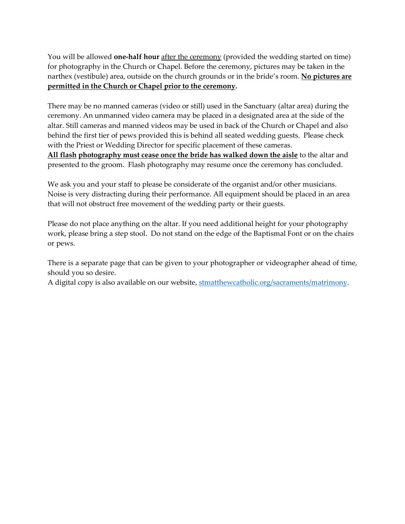You will be allowed **one-half hour** after the ceremony (provided the wedding started on time) for photography in the Church or Chapel. Before the ceremony, pictures may be taken in the narthex (vestibule) area, outside on the church grounds or in the bride's room. **No pictures are permitted in the Church or Chapel prior to the ceremony.**

There may be no manned cameras (video or still) used in the Sanctuary (altar area) during the ceremony. An unmanned video camera may be placed in a designated area at the side of the altar. Still cameras and manned videos may be used in back of the Church or Chapel and also behind the first tier of pews provided this is behind all seated wedding guests. Please check with the Priest or Wedding Director for specific placement of these cameras. **All flash photography must cease once the bride has walked down the aisle** to the altar and presented to the groom. Flash photography may resume once the ceremony has concluded.

We ask you and your staff to please be considerate of the organist and/or other musicians. Noise is very distracting during their performance. All equipment should be placed in an area that will not obstruct free movement of the wedding party or their guests.

Please do not place anything on the altar. If you need additional height for your photography work, please bring a step stool. Do not stand on the edge of the Baptismal Font or on the chairs or pews.

There is a separate page that can be given to your photographer or videographer ahead of time, should you so desire.

A digital copy is also available on our website, stmatthewcatholic.org/sacraments/matrimony.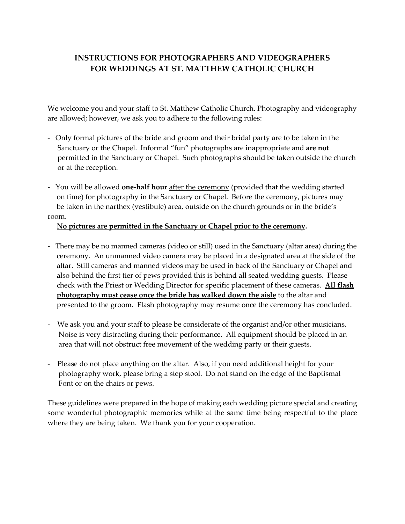## **INSTRUCTIONS FOR PHOTOGRAPHERS AND VIDEOGRAPHERS FOR WEDDINGS AT ST. MATTHEW CATHOLIC CHURCH**

We welcome you and your staff to St. Matthew Catholic Church. Photography and videography are allowed; however, we ask you to adhere to the following rules:

- Only formal pictures of the bride and groom and their bridal party are to be taken in the Sanctuary or the Chapel. Informal "fun" photographs are inappropriate and **are not** permitted in the Sanctuary or Chapel. Such photographs should be taken outside the church or at the reception.
- You will be allowed **one-half hour** after the ceremony (provided that the wedding started on time) for photography in the Sanctuary or Chapel. Before the ceremony, pictures may be taken in the narthex (vestibule) area, outside on the church grounds or in the bride's room.

#### **No pictures are permitted in the Sanctuary or Chapel prior to the ceremony.**

- There may be no manned cameras (video or still) used in the Sanctuary (altar area) during the ceremony. An unmanned video camera may be placed in a designated area at the side of the altar. Still cameras and manned videos may be used in back of the Sanctuary or Chapel and also behind the first tier of pews provided this is behind all seated wedding guests. Please check with the Priest or Wedding Director for specific placement of these cameras. **All flash photography must cease once the bride has walked down the aisle** to the altar and presented to the groom. Flash photography may resume once the ceremony has concluded.
- We ask you and your staff to please be considerate of the organist and/or other musicians. Noise is very distracting during their performance. All equipment should be placed in an area that will not obstruct free movement of the wedding party or their guests.
- Please do not place anything on the altar. Also, if you need additional height for your photography work, please bring a step stool. Do not stand on the edge of the Baptismal Font or on the chairs or pews.

These guidelines were prepared in the hope of making each wedding picture special and creating some wonderful photographic memories while at the same time being respectful to the place where they are being taken. We thank you for your cooperation.